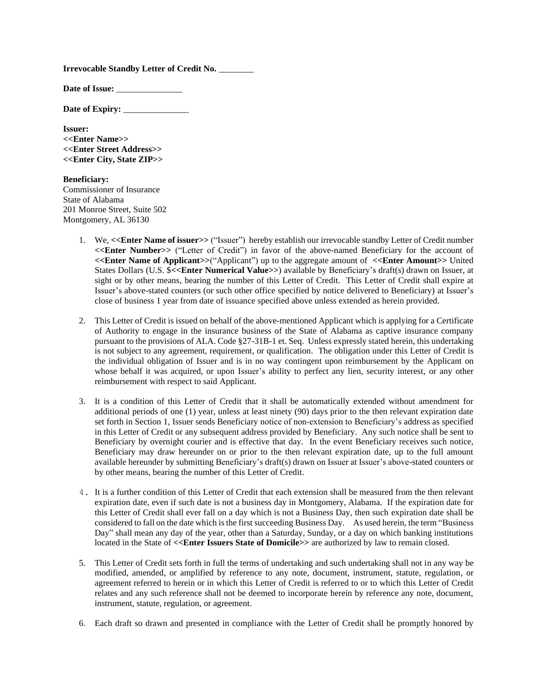**Irrevocable Standby Letter of Credit No.** \_\_\_\_\_\_\_\_

Date of Issue:

**Date of Expiry:** \_\_\_\_\_\_\_\_\_\_\_\_\_\_\_

**Issuer: <<Enter Name>> <<Enter Street Address>> <<Enter City, State ZIP>>**

**Beneficiary:** Commissioner of Insurance State of Alabama 201 Monroe Street, Suite 502 Montgomery, AL 36130

- 1. We, **<<Enter Name of issuer>>** ("Issuer") hereby establish our irrevocable standby Letter of Credit number **<<Enter Number>>** ("Letter of Credit") in favor of the above-named Beneficiary for the account of **<<Enter Name of Applicant>>**("Applicant") up to the aggregate amount of **<<Enter Amount>>** United States Dollars (U.S. \$**<<Enter Numerical Value>>**) available by Beneficiary's draft(s) drawn on Issuer, at sight or by other means, bearing the number of this Letter of Credit. This Letter of Credit shall expire at Issuer's above-stated counters (or such other office specified by notice delivered to Beneficiary) at Issuer's close of business 1 year from date of issuance specified above unless extended as herein provided.
- 2. This Letter of Credit is issued on behalf of the above-mentioned Applicant which is applying for a Certificate of Authority to engage in the insurance business of the State of Alabama as captive insurance company pursuant to the provisions of ALA. Code §27-31B-1 et. Seq. Unless expressly stated herein, this undertaking is not subject to any agreement, requirement, or qualification. The obligation under this Letter of Credit is the individual obligation of Issuer and is in no way contingent upon reimbursement by the Applicant on whose behalf it was acquired, or upon Issuer's ability to perfect any lien, security interest, or any other reimbursement with respect to said Applicant.
- 3. It is a condition of this Letter of Credit that it shall be automatically extended without amendment for additional periods of one (1) year, unless at least ninety (90) days prior to the then relevant expiration date set forth in Section 1, Issuer sends Beneficiary notice of non‐extension to Beneficiary's address as specified in this Letter of Credit or any subsequent address provided by Beneficiary. Any such notice shall be sent to Beneficiary by overnight courier and is effective that day. In the event Beneficiary receives such notice, Beneficiary may draw hereunder on or prior to the then relevant expiration date, up to the full amount available hereunder by submitting Beneficiary's draft(s) drawn on Issuer at Issuer's above-stated counters or by other means, bearing the number of this Letter of Credit.
- 4. It is a further condition of this Letter of Credit that each extension shall be measured from the then relevant expiration date, even if such date is not a business day in Montgomery, Alabama. If the expiration date for this Letter of Credit shall ever fall on a day which is not a Business Day, then such expiration date shall be considered to fall on the date which is the first succeeding Business Day. As used herein, the term "Business Day" shall mean any day of the year, other than a Saturday, Sunday, or a day on which banking institutions located in the State of **<<Enter Issuers State of Domicile>>** are authorized by law to remain closed.
- 5. This Letter of Credit sets forth in full the terms of undertaking and such undertaking shall not in any way be modified, amended, or amplified by reference to any note, document, instrument, statute, regulation, or agreement referred to herein or in which this Letter of Credit is referred to or to which this Letter of Credit relates and any such reference shall not be deemed to incorporate herein by reference any note, document, instrument, statute, regulation, or agreement.
- 6. Each draft so drawn and presented in compliance with the Letter of Credit shall be promptly honored by